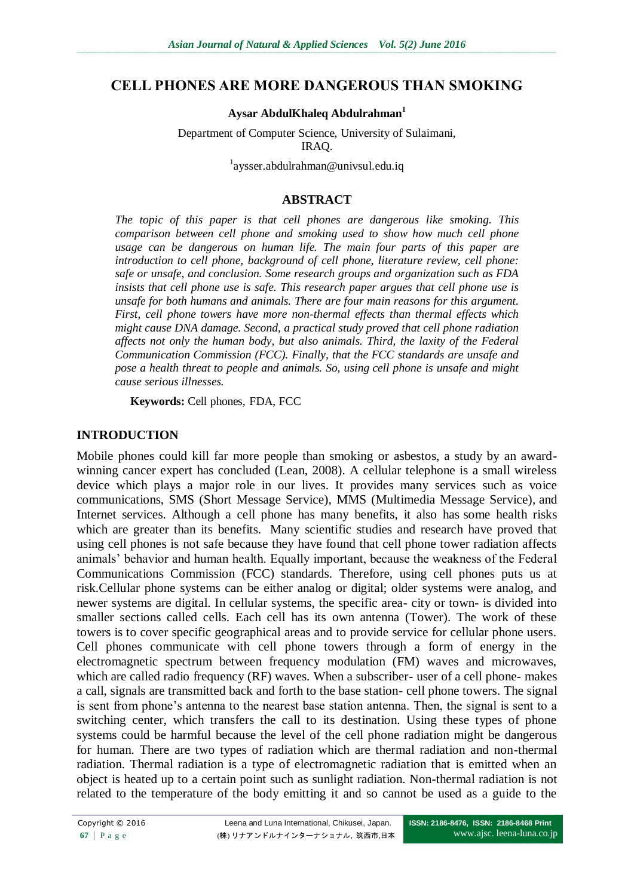## **CELL PHONES ARE MORE DANGEROUS THAN SMOKING**

#### **Aysar AbdulKhaleq Abdulrahman<sup>1</sup>**

Department of Computer Science, University of Sulaimani, IRAQ.

<sup>1</sup>aysser.abdulrahman@univsul.edu.iq

#### **ABSTRACT**

*The topic of this paper is that cell phones are dangerous like smoking. This comparison between cell phone and smoking used to show how much cell phone usage can be dangerous on human life. The main four parts of this paper are introduction to cell phone, background of cell phone, literature review, cell phone: safe or unsafe, and conclusion. Some research groups and organization such as FDA insists that cell phone use is safe. This research paper argues that cell phone use is unsafe for both humans and animals. There are four main reasons for this argument. First, cell phone towers have more non-thermal effects than thermal effects which might cause DNA damage. Second, a practical study proved that cell phone radiation affects not only the human body, but also animals. Third, the laxity of the Federal Communication Commission (FCC). Finally, that the FCC standards are unsafe and pose a health threat to people and animals. So, using cell phone is unsafe and might cause serious illnesses.*

**Keywords:** Cell phones, FDA, FCC

#### **INTRODUCTION**

Mobile phones could kill far more people than smoking or asbestos, a study by an awardwinning cancer expert has concluded (Lean, 2008). A cellular telephone is a small wireless device which plays a major role in our lives. It provides many services such as voice communications, SMS (Short Message Service), MMS (Multimedia Message Service), and Internet services. Although a cell phone has many benefits, it also has some health risks which are greater than its benefits. Many scientific studies and research have proved that using cell phones is not safe because they have found that cell phone tower radiation affects animals" behavior and human health. Equally important, because the weakness of the Federal Communications Commission (FCC) standards. Therefore, using cell phones puts us at risk.Cellular phone systems can be either analog or digital; older systems were analog, and newer systems are digital. In cellular systems, the specific area- city or town- is divided into smaller sections called cells. Each cell has its own antenna (Tower). The work of these towers is to cover specific geographical areas and to provide service for cellular phone users. Cell phones communicate with cell phone towers through a form of energy in the electromagnetic spectrum between frequency modulation (FM) waves and microwaves, which are called radio frequency (RF) waves. When a subscriber- user of a cell phone- makes a call, signals are transmitted back and forth to the base station- cell phone towers. The signal is sent from phone's antenna to the nearest base station antenna. Then, the signal is sent to a switching center, which transfers the call to its destination. Using these types of phone systems could be harmful because the level of the cell phone radiation might be dangerous for human. There are two types of radiation which are thermal radiation and non-thermal radiation. Thermal radiation is a type of electromagnetic radiation that is emitted when an object is heated up to a certain point such as sunlight radiation. Non-thermal radiation is not related to the temperature of the body emitting it and so cannot be used as a guide to the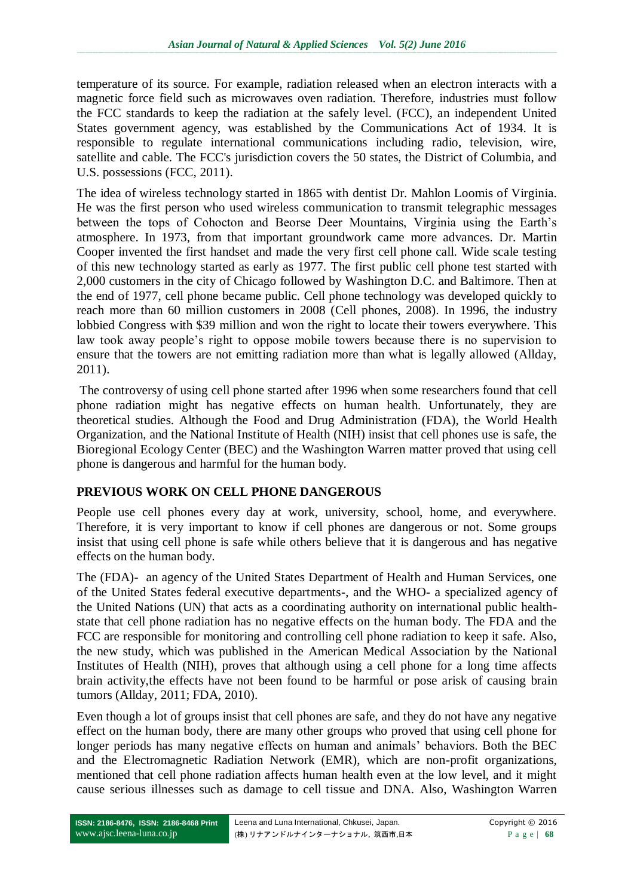temperature of its source. For example, radiation released when an electron interacts with a magnetic force field such as microwaves oven radiation. Therefore, industries must follow the FCC standards to keep the radiation at the safely level. (FCC), an independent United States government agency, was established by the Communications Act of 1934. It is responsible to regulate international communications including radio, television, wire, satellite and cable. The FCC's jurisdiction covers the 50 states, the District of Columbia, and U.S. possessions (FCC, 2011).

The idea of wireless technology started in 1865 with dentist Dr. Mahlon Loomis of Virginia. He was the first person who used wireless communication to transmit telegraphic messages between the tops of Cohocton and Beorse Deer Mountains, Virginia using the Earth"s atmosphere. In 1973, from that important groundwork came more advances. Dr. Martin Cooper invented the first handset and made the very first cell phone call. Wide scale testing of this new technology started as early as 1977. The first public cell phone test started with 2,000 customers in the city of Chicago followed by Washington D.C. and Baltimore. Then at the end of 1977, cell phone became public. Cell phone technology was developed quickly to reach more than 60 million customers in 2008 (Cell phones, 2008). In 1996, the industry lobbied Congress with \$39 million and won the right to locate their towers everywhere. This law took away people"s right to oppose mobile towers because there is no supervision to ensure that the towers are not emitting radiation more than what is legally allowed (Allday, 2011).

The controversy of using cell phone started after 1996 when some researchers found that cell phone radiation might has negative effects on human health. Unfortunately, they are theoretical studies. Although the Food and Drug Administration (FDA), the World Health Organization, and the National Institute of Health (NIH) insist that cell phones use is safe, the Bioregional Ecology Center (BEC) and the Washington Warren matter proved that using cell phone is dangerous and harmful for the human body.

### **PREVIOUS WORK ON CELL PHONE DANGEROUS**

People use cell phones every day at work, university, school, home, and everywhere. Therefore, it is very important to know if cell phones are dangerous or not. Some groups insist that using cell phone is safe while others believe that it is dangerous and has negative effects on the human body.

The (FDA)- an agency of the United States Department of Health and Human Services, one of the United States federal executive departments-, and the WHO- a specialized agency of the United Nations (UN) that acts as a coordinating authority on international public healthstate that cell phone radiation has no negative effects on the human body. The FDA and the FCC are responsible for monitoring and controlling cell phone radiation to keep it safe. Also, the new study, which was published in the American Medical Association by the National Institutes of Health (NIH), proves that although using a cell phone for a long time affects brain activity,the effects have not been found to be harmful or pose arisk of causing brain tumors (Allday, 2011; FDA, 2010).

Even though a lot of groups insist that cell phones are safe, and they do not have any negative effect on the human body, there are many other groups who proved that using cell phone for longer periods has many negative effects on human and animals' behaviors. Both the BEC and the Electromagnetic Radiation Network (EMR), which are non-profit organizations, mentioned that cell phone radiation affects human health even at the low level, and it might cause serious illnesses such as damage to cell tissue and DNA. Also, Washington Warren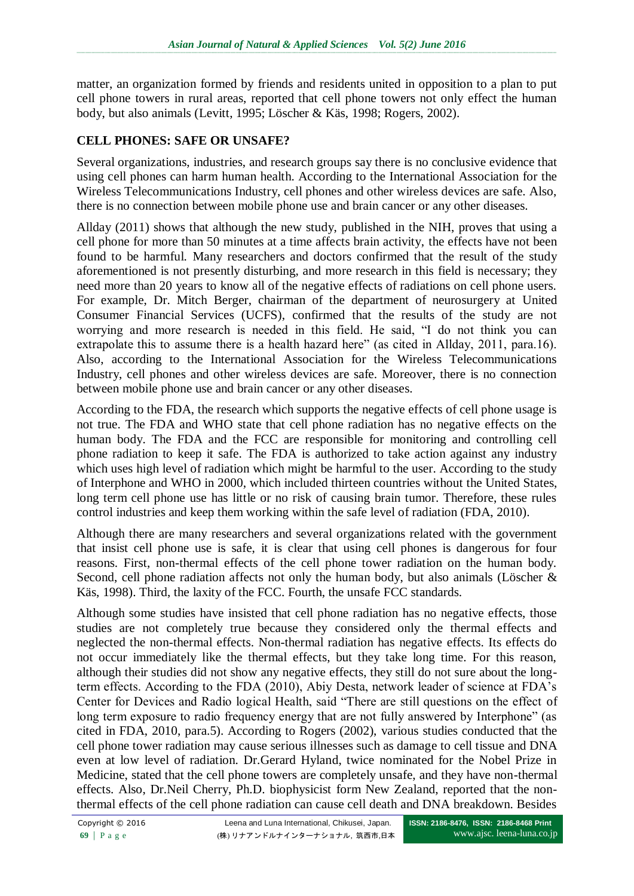matter, an organization formed by friends and residents united in opposition to a plan to put cell phone towers in rural areas, reported that cell phone towers not only effect the human body, but also animals (Levitt, 1995; Löscher & Käs, 1998; Rogers, 2002).

# **CELL PHONES: SAFE OR UNSAFE?**

Several organizations, industries, and research groups say there is no conclusive evidence that using cell phones can harm human health. According to the International Association for the Wireless Telecommunications Industry, cell phones and other wireless devices are safe. Also, there is no connection between mobile phone use and brain cancer or any other diseases.

Allday (2011) shows that although the new study, published in the NIH, proves that using a cell phone for more than 50 minutes at a time affects brain activity, the effects have not been found to be harmful. Many researchers and doctors confirmed that the result of the study aforementioned is not presently disturbing, and more research in this field is necessary; they need more than 20 years to know all of the negative effects of radiations on cell phone users. For example, Dr. Mitch Berger, chairman of the department of neurosurgery at United Consumer Financial Services (UCFS), confirmed that the results of the study are not worrying and more research is needed in this field. He said, "I do not think you can extrapolate this to assume there is a health hazard here" (as cited in Allday, 2011, para.16). Also, according to the International Association for the Wireless Telecommunications Industry, cell phones and other wireless devices are safe. Moreover, there is no connection between mobile phone use and brain cancer or any other diseases.

According to the FDA, the research which supports the negative effects of cell phone usage is not true. The FDA and WHO state that cell phone radiation has no negative effects on the human body. The FDA and the FCC are responsible for monitoring and controlling cell phone radiation to keep it safe. The FDA is authorized to take action against any industry which uses high level of radiation which might be harmful to the user. According to the study of Interphone and WHO in 2000, which included thirteen countries without the United States, long term cell phone use has little or no risk of causing brain tumor. Therefore, these rules control industries and keep them working within the safe level of radiation (FDA, 2010).

Although there are many researchers and several organizations related with the government that insist cell phone use is safe, it is clear that using cell phones is dangerous for four reasons. First, non-thermal effects of the cell phone tower radiation on the human body. Second, cell phone radiation affects not only the human body, but also animals (Löscher & Käs, 1998). Third, the laxity of the FCC. Fourth, the unsafe FCC standards.

Although some studies have insisted that cell phone radiation has no negative effects, those studies are not completely true because they considered only the thermal effects and neglected the non-thermal effects. Non-thermal radiation has negative effects. Its effects do not occur immediately like the thermal effects, but they take long time. For this reason, although their studies did not show any negative effects, they still do not sure about the longterm effects. According to the FDA (2010), Abiy Desta, network leader of science at FDA"s Center for Devices and Radio logical Health, said "There are still questions on the effect of long term exposure to radio frequency energy that are not fully answered by Interphone" (as cited in FDA, 2010, para.5). According to Rogers (2002), various studies conducted that the cell phone tower radiation may cause serious illnesses such as damage to cell tissue and DNA even at low level of radiation. Dr.Gerard Hyland, twice nominated for the Nobel Prize in Medicine, stated that the cell phone towers are completely unsafe, and they have non-thermal effects. Also, Dr.Neil Cherry, Ph.D. biophysicist form New Zealand, reported that the nonthermal effects of the cell phone radiation can cause cell death and DNA breakdown. Besides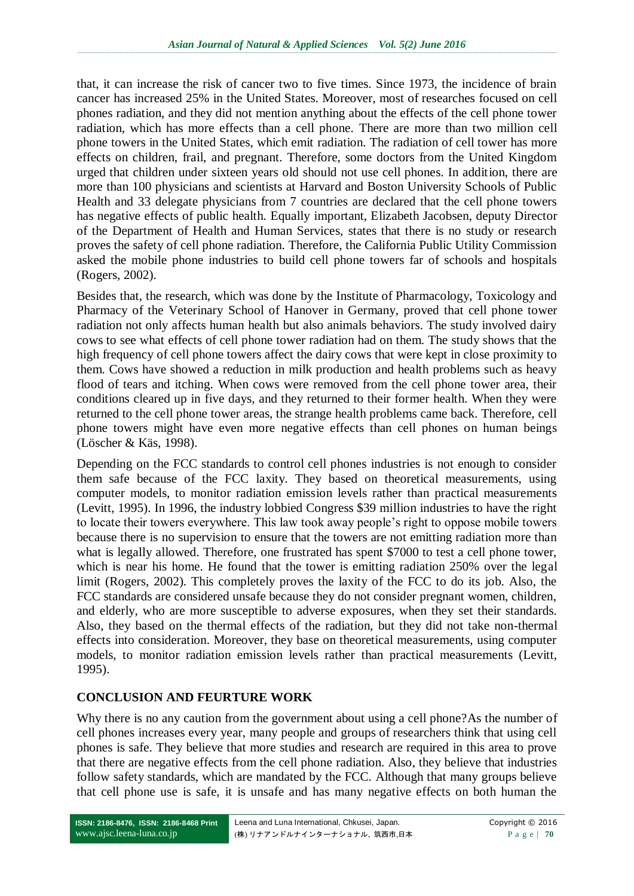that, it can increase the risk of cancer two to five times. Since 1973, the incidence of brain cancer has increased 25% in the United States. Moreover, most of researches focused on cell phones radiation, and they did not mention anything about the effects of the cell phone tower radiation, which has more effects than a cell phone. There are more than two million cell phone towers in the United States, which emit radiation. The radiation of cell tower has more effects on children, frail, and pregnant. Therefore, some doctors from the United Kingdom urged that children under sixteen years old should not use cell phones. In addition, there are more than 100 physicians and scientists at Harvard and Boston University Schools of Public Health and 33 delegate physicians from 7 countries are declared that the cell phone towers has negative effects of public health. Equally important, Elizabeth Jacobsen, deputy Director of the Department of Health and Human Services, states that there is no study or research proves the safety of cell phone radiation. Therefore, the California Public Utility Commission asked the mobile phone industries to build cell phone towers far of schools and hospitals (Rogers, 2002).

Besides that, the research, which was done by the Institute of Pharmacology, Toxicology and Pharmacy of the Veterinary [School](http://www.ehow.com/education/) of Hanover in Germany, proved that cell phone tower radiation not only affects human health but also animals behaviors. The study involved dairy cows to see what effects of cell phone tower radiation had on them. The study shows that the high frequency of cell phone towers affect the dairy cows that were kept in close proximity to them. Cows have showed a reduction in milk production and health problems such as heavy flood of tears and itching. When cows were removed from the cell phone tower area, their conditions cleared up in five days, and they returned to their former health. When they were returned to the cell phone tower areas, the strange health problems came back. Therefore, cell phone towers might have even more negative effects than cell phones on human beings (Löscher & Käs, 1998).

Depending on the FCC standards to control cell phones industries is not enough to consider them safe because of the FCC laxity. They based on theoretical measurements, using computer models, to monitor radiation emission levels rather than practical measurements (Levitt, 1995). In 1996, the industry lobbied Congress \$39 million industries to have the right to locate their towers everywhere. This law took away people"s right to oppose mobile towers because there is no supervision to ensure that the towers are not emitting radiation more than what is legally allowed. Therefore, one frustrated has spent \$7000 to test a cell phone tower, which is near his home. He found that the tower is emitting radiation 250% over the legal limit (Rogers, 2002). This completely proves the laxity of the FCC to do its job. Also, the FCC standards are considered unsafe because they do not consider pregnant women, children, and elderly, who are more susceptible to adverse exposures, when they set their standards. Also, they based on the thermal effects of the radiation, but they did not take non-thermal effects into consideration. Moreover, they base on theoretical measurements, using computer models, to monitor radiation emission levels rather than practical measurements (Levitt, 1995).

### **CONCLUSION AND FEURTURE WORK**

Why there is no any caution from the government about using a cell phone? As the number of cell phones increases every year, many people and groups of researchers think that using cell phones is safe. They believe that more studies and research are required in this area to prove that there are negative effects from the cell phone radiation. Also, they believe that industries follow safety standards, which are mandated by the FCC. Although that many groups believe that cell phone use is safe, it is unsafe and has many negative effects on both human the